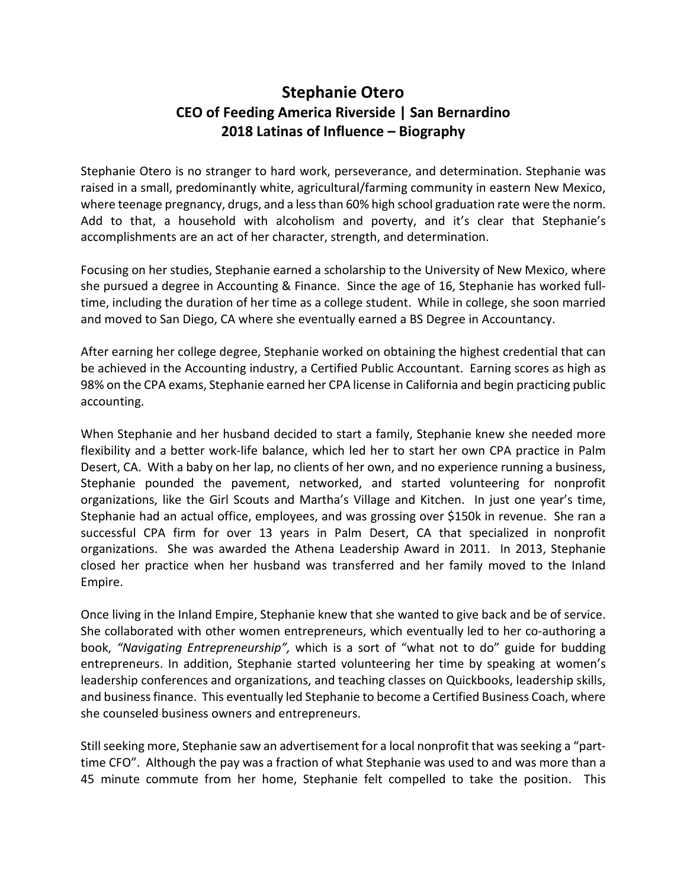## **Stephanie Otero CEO of Feeding America Riverside | San Bernardino 2018 Latinas of Influence – Biography**

Stephanie Otero is no stranger to hard work, perseverance, and determination. Stephanie was raised in a small, predominantly white, agricultural/farming community in eastern New Mexico, where teenage pregnancy, drugs, and a less than 60% high school graduation rate were the norm. Add to that, a household with alcoholism and poverty, and it's clear that Stephanie's accomplishments are an act of her character, strength, and determination.

Focusing on her studies, Stephanie earned a scholarship to the University of New Mexico, where she pursued a degree in Accounting & Finance. Since the age of 16, Stephanie has worked fulltime, including the duration of her time as a college student. While in college, she soon married and moved to San Diego, CA where she eventually earned a BS Degree in Accountancy.

After earning her college degree, Stephanie worked on obtaining the highest credential that can be achieved in the Accounting industry, a Certified Public Accountant. Earning scores as high as 98% on the CPA exams, Stephanie earned her CPA license in California and begin practicing public accounting.

When Stephanie and her husband decided to start a family, Stephanie knew she needed more flexibility and a better work-life balance, which led her to start her own CPA practice in Palm Desert, CA. With a baby on her lap, no clients of her own, and no experience running a business, Stephanie pounded the pavement, networked, and started volunteering for nonprofit organizations, like the Girl Scouts and Martha's Village and Kitchen. In just one year's time, Stephanie had an actual office, employees, and was grossing over \$150k in revenue. She ran a successful CPA firm for over 13 years in Palm Desert, CA that specialized in nonprofit organizations. She was awarded the Athena Leadership Award in 2011. In 2013, Stephanie closed her practice when her husband was transferred and her family moved to the Inland Empire.

Once living in the Inland Empire, Stephanie knew that she wanted to give back and be of service. She collaborated with other women entrepreneurs, which eventually led to her co-authoring a book, *"Navigating Entrepreneurship",* which is a sort of "what not to do" guide for budding entrepreneurs. In addition, Stephanie started volunteering her time by speaking at women's leadership conferences and organizations, and teaching classes on Quickbooks, leadership skills, and business finance. This eventually led Stephanie to become a Certified Business Coach, where she counseled business owners and entrepreneurs.

Still seeking more, Stephanie saw an advertisement for a local nonprofit that was seeking a "parttime CFO". Although the pay was a fraction of what Stephanie was used to and was more than a 45 minute commute from her home, Stephanie felt compelled to take the position. This